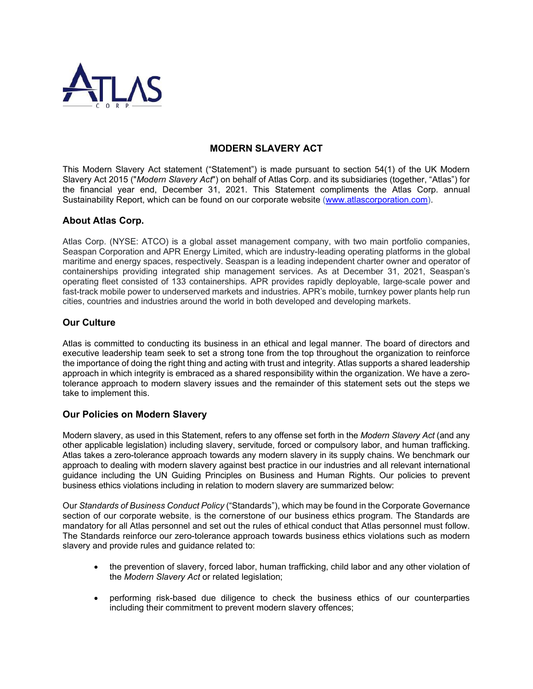

# **MODERN SLAVERY ACT**

This Modern Slavery Act statement ("Statement") is made pursuant to section 54(1) of the UK Modern Slavery Act 2015 ("*Modern Slavery Act*") on behalf of Atlas Corp. and its subsidiaries (together, "Atlas") for the financial year end, December 31, 2021. This Statement compliments the Atlas Corp. annual Sustainability Report, which can be found on our corporate website [\(www.atlascorporation.com\)](http://www.atlascorporation.com/).

### **About Atlas Corp.**

Atlas Corp. (NYSE: ATCO) is a global asset management company, with two main portfolio companies, Seaspan Corporation and APR Energy Limited, which are industry-leading operating platforms in the global maritime and energy spaces, respectively. Seaspan is a leading independent charter owner and operator of containerships providing integrated ship management services. As at December 31, 2021, Seaspan's operating fleet consisted of 133 containerships. APR provides rapidly deployable, large-scale power and fast-track mobile power to underserved markets and industries. APR's mobile, turnkey power plants help run cities, countries and industries around the world in both developed and developing markets.

### **Our Culture**

Atlas is committed to conducting its business in an ethical and legal manner. The board of directors and executive leadership team seek to set a strong tone from the top throughout the organization to reinforce the importance of doing the right thing and acting with trust and integrity. Atlas supports a shared leadership approach in which integrity is embraced as a shared responsibility within the organization. We have a zerotolerance approach to modern slavery issues and the remainder of this statement sets out the steps we take to implement this.

## **Our Policies on Modern Slavery**

Modern slavery, as used in this Statement, refers to any offense set forth in the *Modern Slavery Act* (and any other applicable legislation) including slavery, servitude, forced or compulsory labor, and human trafficking. Atlas takes a zero-tolerance approach towards any modern slavery in its supply chains. We benchmark our approach to dealing with modern slavery against best practice in our industries and all relevant international guidance including the UN Guiding Principles on Business and Human Rights. Our policies to prevent business ethics violations including in relation to modern slavery are summarized below:

Our *Standards of Business Conduct Policy* ("Standards"), which may be found in the Corporate Governance section of our corporate website, is the cornerstone of our business ethics program. The Standards are mandatory for all Atlas personnel and set out the rules of ethical conduct that Atlas personnel must follow. The Standards reinforce our zero-tolerance approach towards business ethics violations such as modern slavery and provide rules and guidance related to:

- the prevention of slavery, forced labor, human trafficking, child labor and any other violation of the *Modern Slavery Act* or related legislation;
- performing risk-based due diligence to check the business ethics of our counterparties including their commitment to prevent modern slavery offences;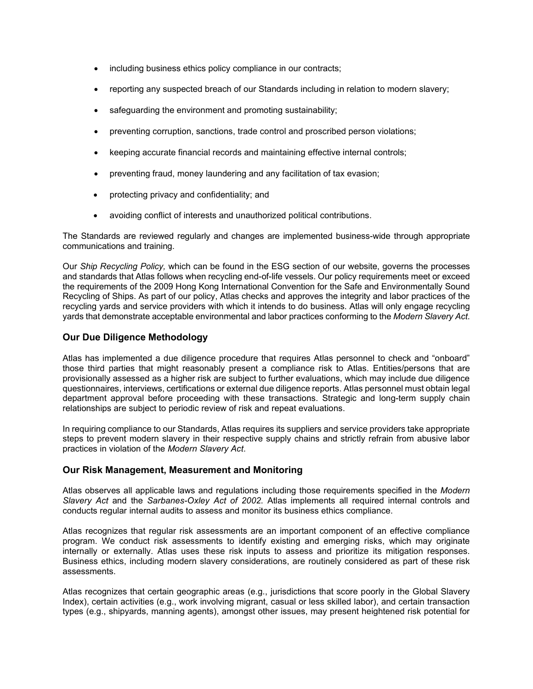- including business ethics policy compliance in our contracts;
- reporting any suspected breach of our Standards including in relation to modern slavery;
- safeguarding the environment and promoting sustainability;
- preventing corruption, sanctions, trade control and proscribed person violations;
- keeping accurate financial records and maintaining effective internal controls;
- preventing fraud, money laundering and any facilitation of tax evasion;
- protecting privacy and confidentiality; and
- avoiding conflict of interests and unauthorized political contributions.

The Standards are reviewed regularly and changes are implemented business-wide through appropriate communications and training.

Our *Ship Recycling Policy,* which can be found in the ESG section of our website, governs the processes and standards that Atlas follows when recycling end-of-life vessels. Our policy requirements meet or exceed the requirements of the 2009 Hong Kong International Convention for the Safe and Environmentally Sound Recycling of Ships. As part of our policy, Atlas checks and approves the integrity and labor practices of the recycling yards and service providers with which it intends to do business. Atlas will only engage recycling yards that demonstrate acceptable environmental and labor practices conforming to the *Modern Slavery Act*.

### **Our Due Diligence Methodology**

Atlas has implemented a due diligence procedure that requires Atlas personnel to check and "onboard" those third parties that might reasonably present a compliance risk to Atlas. Entities/persons that are provisionally assessed as a higher risk are subject to further evaluations, which may include due diligence questionnaires, interviews, certifications or external due diligence reports. Atlas personnel must obtain legal department approval before proceeding with these transactions. Strategic and long-term supply chain relationships are subject to periodic review of risk and repeat evaluations.

In requiring compliance to our Standards, Atlas requires its suppliers and service providers take appropriate steps to prevent modern slavery in their respective supply chains and strictly refrain from abusive labor practices in violation of the *Modern Slavery Act*.

#### **Our Risk Management, Measurement and Monitoring**

Atlas observes all applicable laws and regulations including those requirements specified in the *Modern Slavery Act* and the *Sarbanes-Oxley Act of 2002*. Atlas implements all required internal controls and conducts regular internal audits to assess and monitor its business ethics compliance.

Atlas recognizes that regular risk assessments are an important component of an effective compliance program. We conduct risk assessments to identify existing and emerging risks, which may originate internally or externally. Atlas uses these risk inputs to assess and prioritize its mitigation responses. Business ethics, including modern slavery considerations, are routinely considered as part of these risk assessments.

Atlas recognizes that certain geographic areas (e.g., jurisdictions that score poorly in the Global Slavery Index), certain activities (e.g., work involving migrant, casual or less skilled labor), and certain transaction types (e.g., shipyards, manning agents), amongst other issues, may present heightened risk potential for